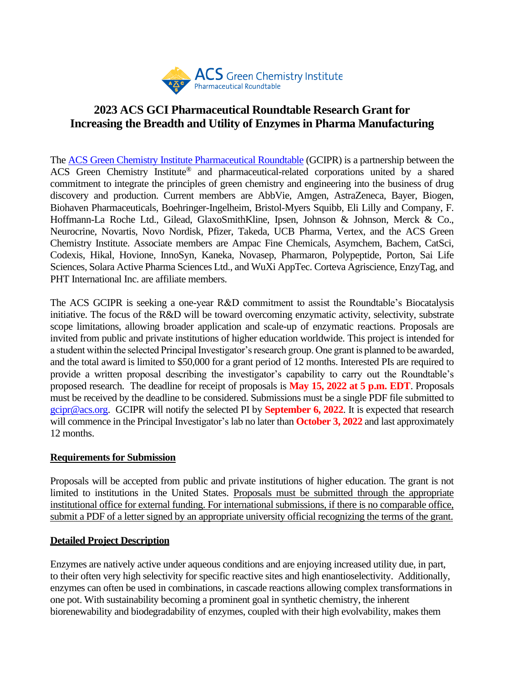

# **2023 ACS GCI Pharmaceutical Roundtable Research Grant for Increasing the Breadth and Utility of Enzymes in Pharma Manufacturing**

The [ACS Green Chemistry Institute Pharmaceutical Roundtable](https://www.acsgcipr.org/) (GCIPR) is a partnership between the ACS Green Chemistry Institute® and pharmaceutical-related corporations united by a shared commitment to integrate the principles of green chemistry and engineering into the business of drug discovery and production. Current members are AbbVie, Amgen, AstraZeneca, Bayer, Biogen, Biohaven Pharmaceuticals, Boehringer-Ingelheim, Bristol-Myers Squibb, Eli Lilly and Company, F. Hoffmann-La Roche Ltd., Gilead, GlaxoSmithKline, Ipsen, Johnson & Johnson, Merck & Co., Neurocrine, Novartis, Novo Nordisk, Pfizer, Takeda, UCB Pharma, Vertex, and the ACS Green Chemistry Institute. Associate members are Ampac Fine Chemicals, Asymchem, Bachem, CatSci, Codexis, Hikal, Hovione, InnoSyn, Kaneka, Novasep, Pharmaron, Polypeptide, Porton, Sai Life Sciences, Solara Active Pharma Sciences Ltd., and WuXi AppTec. Corteva Agriscience, EnzyTag, and PHT International Inc. are affiliate members.

The ACS GCIPR is seeking a one-year R&D commitment to assist the Roundtable's Biocatalysis initiative. The focus of the R&D will be toward overcoming enzymatic activity, selectivity, substrate scope limitations, allowing broader application and scale-up of enzymatic reactions. Proposals are invited from public and private institutions of higher education worldwide. This project is intended for a student within the selected Principal Investigator's research group. One grant is planned to be awarded, and the total award is limited to \$50,000 for a grant period of 12 months. Interested PIs are required to provide a written proposal describing the investigator's capability to carry out the Roundtable's proposed research. The deadline for receipt of proposals is **May 15, 2022 at 5 p.m. EDT**. Proposals must be received by the deadline to be considered. Submissions must be a single PDF file submitted to [gcipr@acs.org.](mailto:gcipr@acs.org) GCIPR will notify the selected PI by **September 6, 2022**. It is expected that research will commence in the Principal Investigator's lab no later than **October 3, 2022** and last approximately 12 months.

#### **Requirements for Submission**

Proposals will be accepted from public and private institutions of higher education. The grant is not limited to institutions in the United States. Proposals must be submitted through the appropriate institutional office for external funding. For international submissions, if there is no comparable office, submit a PDF of a letter signed by an appropriate university official recognizing the terms of the grant.

#### **Detailed Project Description**

Enzymes are natively active under aqueous conditions and are enjoying increased utility due, in part, to their often very high selectivity for specific reactive sites and high enantioselectivity. Additionally, enzymes can often be used in combinations, in cascade reactions allowing complex transformations in one pot. With sustainability becoming a prominent goal in synthetic chemistry, the inherent biorenewability and biodegradability of enzymes, coupled with their high evolvability, makes them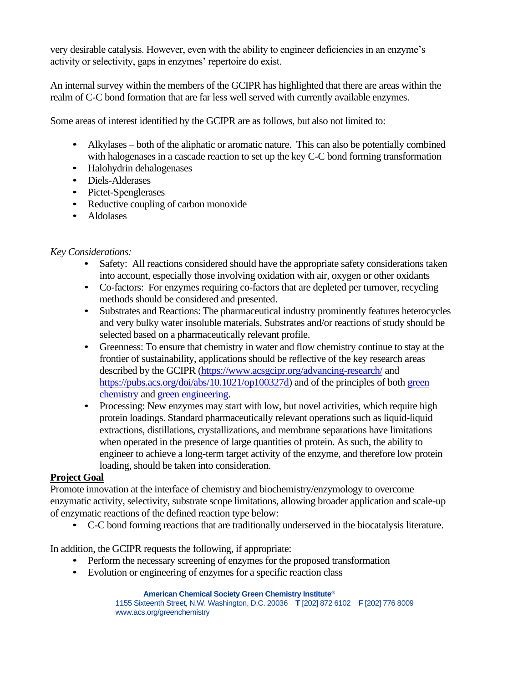very desirable catalysis. However, even with the ability to engineer deficiencies in an enzyme's activity or selectivity, gaps in enzymes' repertoire do exist.

An internal survey within the members of the GCIPR has highlighted that there are areas within the realm of C-C bond formation that are far less well served with currently available enzymes.

Some areas of interest identified by the GCIPR are as follows, but also not limited to:

- Alkylases both of the aliphatic or aromatic nature. This can also be potentially combined with halogenases in a cascade reaction to set up the key C-C bond forming transformation
- Halohydrin dehalogenases
- Diels-Alderases
- Pictet-Spenglerases
- Reductive coupling of carbon monoxide
- Aldolases

# *Key Considerations:*

- Safety: All reactions considered should have the appropriate safety considerations taken into account, especially those involving oxidation with air, oxygen or other oxidants
- Co-factors: For enzymes requiring co-factors that are depleted per turnover, recycling methods should be considered and presented.
- Substrates and Reactions: The pharmaceutical industry prominently features heterocycles and very bulky water insoluble materials. Substrates and/or reactions of study should be selected based on a pharmaceutically relevant profile.
- Greenness: To ensure that chemistry in water and flow chemistry continue to stay at the frontier of sustainability, applications should be reflective of the key research areas described by the GCIPR [\(https://www.acsgcipr.org/advancing-research/](https://www.acsgcipr.org/advancing-research/) and [https://pubs.acs.org/doi/abs/10.1021/op100327d\)](https://pubs.acs.org/doi/abs/10.1021/op100327d) and of the principles of both green [chemistry](https://www.acs.org/content/acs/en/greenchemistry/principles/12-principles-of-%20green-chemistry.html) an[d green engineering.](https://www.acs.org/content/acs/en/greenchemistry/principles/12-design-)
- Processing: New enzymes may start with low, but novel activities, which require high protein loadings. Standard pharmaceutically relevant operations such as liquid-liquid extractions, distillations, crystallizations, and membrane separations have limitations when operated in the presence of large quantities of protein. As such, the ability to engineer to achieve a long-term target activity of the enzyme, and therefore low protein loading, should be taken into consideration.

### **Project Goal**

Promote innovation at the interface of chemistry and biochemistry/enzymology to overcome enzymatic activity, selectivity, substrate scope limitations, allowing broader application and scale-up of enzymatic reactions of the defined reaction type below:

• C-C bond forming reactions that are traditionally underserved in the biocatalysis literature.

In addition, the GCIPR requests the following, if appropriate:

- Perform the necessary screening of enzymes for the proposed transformation
- Evolution or engineering of enzymes for a specific reaction class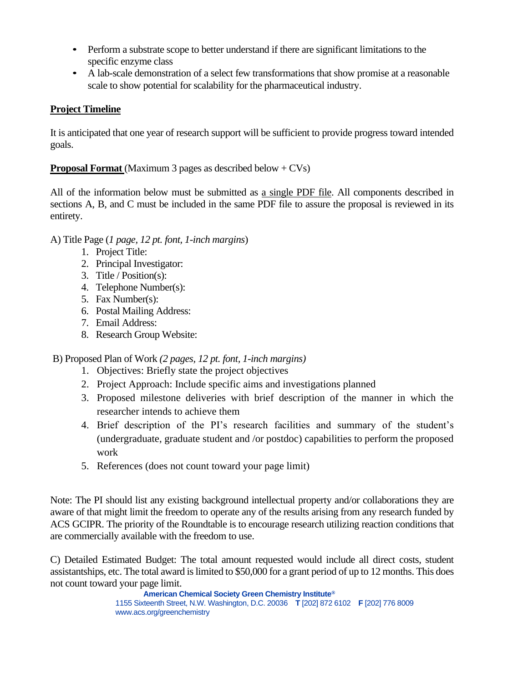- Perform a substrate scope to better understand if there are significant limitations to the specific enzyme class
- A lab-scale demonstration of a select few transformations that show promise at a reasonable scale to show potential for scalability for the pharmaceutical industry.

# **Project Timeline**

It is anticipated that one year of research support will be sufficient to provide progress toward intended goals.

### **Proposal Format** (Maximum 3 pages as described below + CVs)

All of the information below must be submitted as a single PDF file. All components described in sections A, B, and C must be included in the same PDF file to assure the proposal is reviewed in its entirety.

### A) Title Page (*1 page, 12 pt. font, 1-inch margins*)

- 1. Project Title:
- 2. Principal Investigator:
- 3. Title / Position(s):
- 4. Telephone Number(s):
- 5. Fax Number(s):
- 6. Postal Mailing Address:
- 7. Email Address:
- 8. Research Group Website:

B) Proposed Plan of Work *(2 pages, 12 pt. font, 1-inch margins)*

- 1. Objectives: Briefly state the project objectives
- 2. Project Approach: Include specific aims and investigations planned
- 3. Proposed milestone deliveries with brief description of the manner in which the researcher intends to achieve them
- 4. Brief description of the PI's research facilities and summary of the student's (undergraduate, graduate student and /or postdoc) capabilities to perform the proposed work
- 5. References (does not count toward your page limit)

Note: The PI should list any existing background intellectual property and/or collaborations they are aware of that might limit the freedom to operate any of the results arising from any research funded by ACS GCIPR. The priority of the Roundtable is to encourage research utilizing reaction conditions that are commercially available with the freedom to use.

C) Detailed Estimated Budget: The total amount requested would include all direct costs, student assistantships, etc. The total award is limited to \$50,000 for a grant period of up to 12 months. This does not count toward your page limit.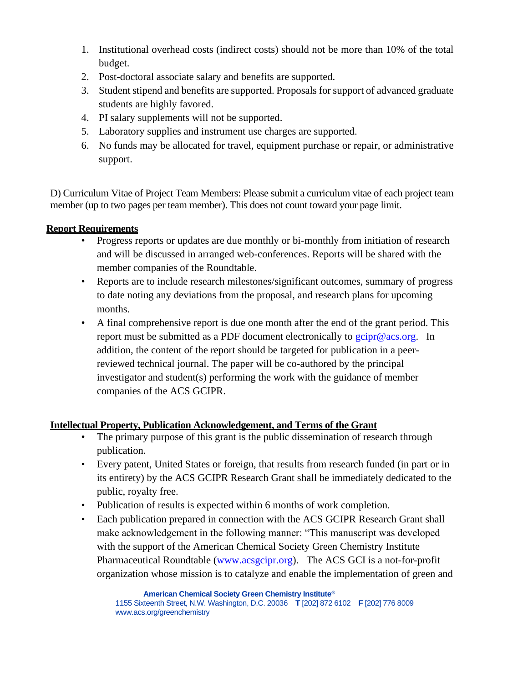- 1. Institutional overhead costs (indirect costs) should not be more than 10% of the total budget.
- 2. Post-doctoral associate salary and benefits are supported.
- 3. Student stipend and benefits are supported. Proposals for support of advanced graduate students are highly favored.
- 4. PI salary supplements will not be supported.
- 5. Laboratory supplies and instrument use charges are supported.
- 6. No funds may be allocated for travel, equipment purchase or repair, or administrative support.

D) Curriculum Vitae of Project Team Members: Please submit a curriculum vitae of each project team member (up to two pages per team member). This does not count toward your page limit.

### **Report Requirements**

- Progress reports or updates are due monthly or bi-monthly from initiation of research and will be discussed in arranged web-conferences. Reports will be shared with the member companies of the Roundtable.
- Reports are to include research milestones/significant outcomes, summary of progress to date noting any deviations from the proposal, and research plans for upcoming months.
- A final comprehensive report is due one month after the end of the grant period. This report must be submitted as a PDF document electronically to  $gcipr@acs.org$ . In addition, the content of the report should be targeted for publication in a peerreviewed technical journal. The paper will be co-authored by the principal investigator and student(s) performing the work with the guidance of member companies of the ACS GCIPR.

### **Intellectual Property, Publication Acknowledgement, and Terms of the Grant**

- The primary purpose of this grant is the public dissemination of research through publication.
- Every patent, United States or foreign, that results from research funded (in part or in its entirety) by the ACS GCIPR Research Grant shall be immediately dedicated to the public, royalty free.
- Publication of results is expected within 6 months of work completion.
- Each publication prepared in connection with the ACS GCIPR Research Grant shall make acknowledgement in the following manner: "This manuscript was developed with the support of the American Chemical Society Green Chemistry Institute Pharmaceutical Roundtable [\(www.acsgcipr.org\)](http://www.acsgcipr.org/). The ACS GCI is a not-for-profit organization whose mission is to catalyze and enable the implementation of green and